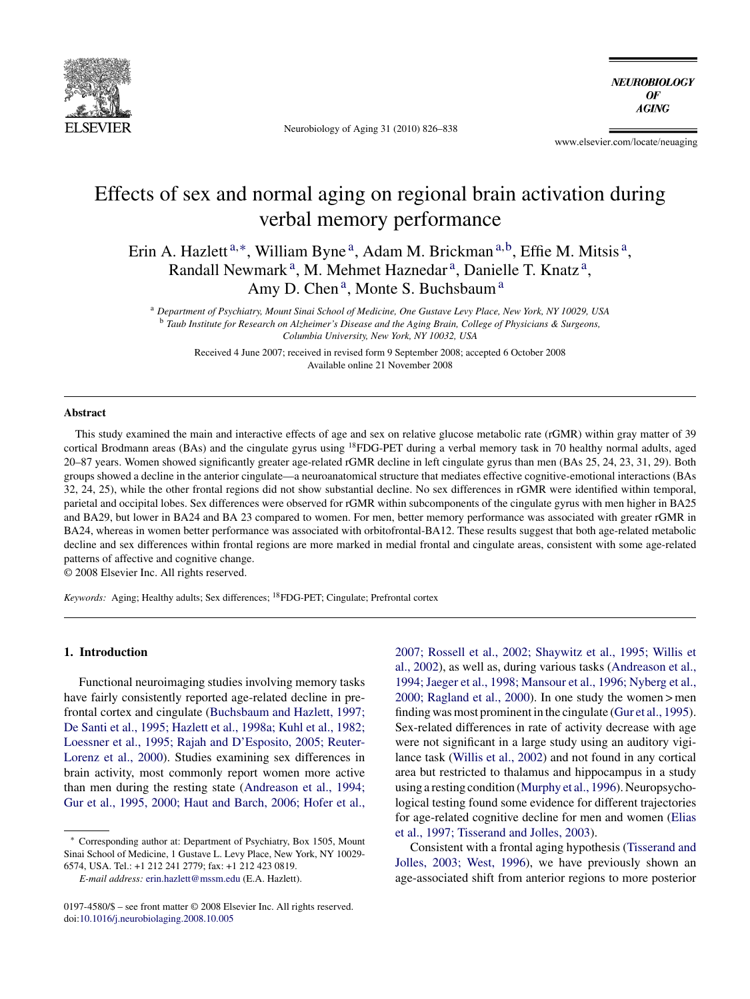

Neurobiology of Aging 31 (2010) 826–838

**NEUROBIOLOGY**  $\bm{0}$ F **AGING** 

www.elsevier.com/locate/neuaging

## Effects of sex and normal aging on regional brain activation during verbal memory performance

Erin A. Hazlett<sup>a,∗</sup>, William Byne<sup>a</sup>, Adam M. Brickman<sup>a,b</sup>, Effie M. Mitsis<sup>a</sup>, Randall Newmark<sup>a</sup>, M. Mehmet Haznedar<sup>a</sup>, Danielle T. Knatz<sup>a</sup>, Amy D. Chen<sup>a</sup>, Monte S. Buchsbaum<sup>a</sup>

<sup>a</sup> *Department of Psychiatry, Mount Sinai School of Medicine, One Gustave Levy Place, New York, NY 10029, USA* <sup>b</sup> *Taub Institute for Research on Alzheimer's Disease and the Aging Brain, College of Physicians & Surgeons, Columbia University, New York, NY 10032, USA*

Received 4 June 2007; received in revised form 9 September 2008; accepted 6 October 2008 Available online 21 November 2008

#### **Abstract**

This study examined the main and interactive effects of age and sex on relative glucose metabolic rate (rGMR) within gray matter of 39 cortical Brodmann areas (BAs) and the cingulate gyrus using 18FDG-PET during a verbal memory task in 70 healthy normal adults, aged 20–87 years. Women showed significantly greater age-related rGMR decline in left cingulate gyrus than men (BAs 25, 24, 23, 31, 29). Both groups showed a decline in the anterior cingulate—a neuroanatomical structure that mediates effective cognitive-emotional interactions (BAs 32, 24, 25), while the other frontal regions did not show substantial decline. No sex differences in rGMR were identified within temporal, parietal and occipital lobes. Sex differences were observed for rGMR within subcomponents of the cingulate gyrus with men higher in BA25 and BA29, but lower in BA24 and BA 23 compared to women. For men, better memory performance was associated with greater rGMR in BA24, whereas in women better performance was associated with orbitofrontal-BA12. These results suggest that both age-related metabolic decline and sex differences within frontal regions are more marked in medial frontal and cingulate areas, consistent with some age-related patterns of affective and cognitive change.

© 2008 Elsevier Inc. All rights reserved.

*Keywords:* Aging; Healthy adults; Sex differences; 18FDG-PET; Cingulate; Prefrontal cortex

### **1. Introduction**

Functional neuroimaging studies involving memory tasks have fairly consistently reported age-related decline in prefrontal cortex and cingulate ([Buchsbaum and Hazlett, 1997;](#page--1-0) [De Santi et al., 1995; Hazlett et al., 1998a; Kuhl et al., 1982;](#page--1-0) [Loessner et al., 1995; Rajah and D'Esposito, 2005; Reuter-](#page--1-0)Lorenz [et al., 2000\).](#page--1-0) Studies examining sex differences in brain activity, most commonly report women more active than men during the resting state ([Andreason et al., 1994;](#page--1-0) [Gur et al., 1995, 2000; Haut and Barch, 2006; Hofer et al.,](#page--1-0)

[2007; Rossell et al., 2002; Shaywitz et al., 1995; Willis et](#page--1-0) [al., 2002\),](#page--1-0) as well as, during various tasks ([Andreason et al.,](#page--1-0) [1994; Jaeger et al., 1998; Mansour et al., 1996; Nyberg et al.,](#page--1-0) [2000; Ragland et al., 2000\).](#page--1-0) In one study the women > men finding was most prominent in the cingulate ([Gur et al., 1995\).](#page--1-0) Sex-related differences in rate of activity decrease with age were not significant in a large study using an auditory vigilance task ([Willis et al., 2002\)](#page--1-0) and not found in any cortical area but restricted to thalamus and hippocampus in a study using a resting condition ([Murphy et al., 1996\).](#page--1-0) Neuropsychological testing found some evidence for different trajectories for age-related cognitive decline for men and women ([Elias](#page--1-0) [et al., 1997; Tisserand and Jolles, 2003\).](#page--1-0)

Consistent with a frontal aging hypothesis ([Tisserand and](#page--1-0) [Jolles, 2003; West, 1996\),](#page--1-0) we have previously shown an age-associated shift from anterior regions to more posterior

<sup>∗</sup> Corresponding author at: Department of Psychiatry, Box 1505, Mount Sinai School of Medicine, 1 Gustave L. Levy Place, New York, NY 10029- 6574, USA. Tel.: +1 212 241 2779; fax: +1 212 423 0819.

*E-mail address:* [erin.hazlett@mssm.edu](mailto:erin.hazlett@mssm.edu) (E.A. Hazlett).

<sup>0197-4580/\$ –</sup> see front matter © 2008 Elsevier Inc. All rights reserved. doi[:10.1016/j.neurobiolaging.2008.10.005](dx.doi.org/10.1016/j.neurobiolaging.2008.10.005)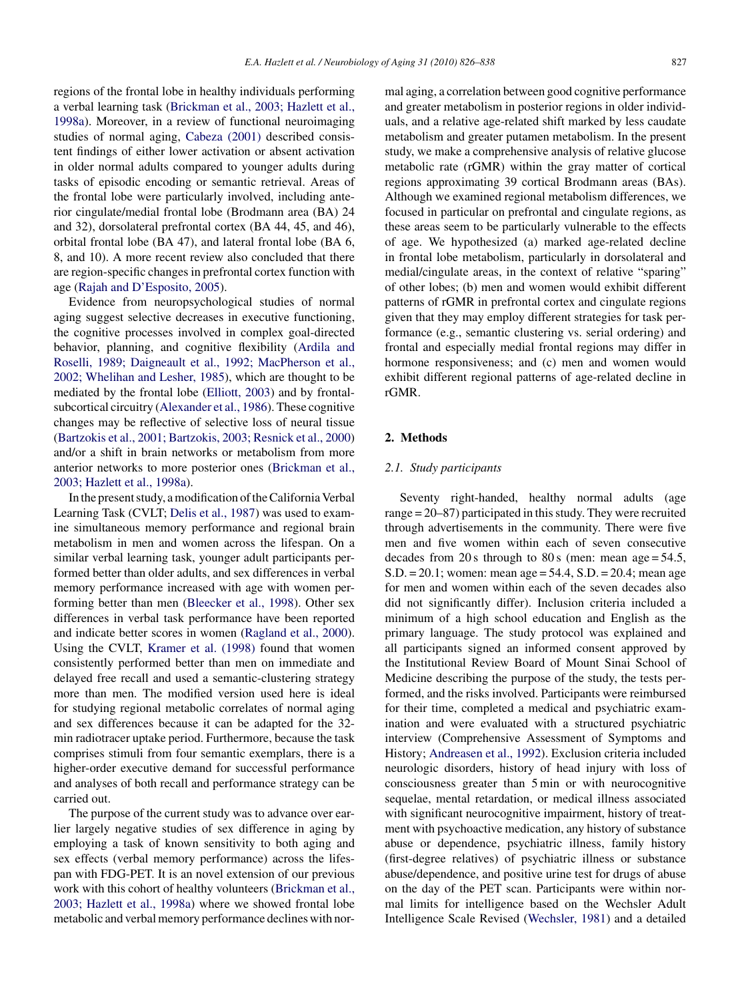regions of the frontal lobe in healthy individuals performing a verbal learning task [\(Brickman et al., 2003; Hazlett et al.,](#page--1-0) [1998a\).](#page--1-0) Moreover, in a review of functional neuroimaging studies of normal aging, [Cabeza \(2001\)](#page--1-0) described consistent findings of either lower activation or absent activation in older normal adults compared to younger adults during tasks of episodic encoding or semantic retrieval. Areas of the frontal lobe were particularly involved, including anterior cingulate/medial frontal lobe (Brodmann area (BA) 24 and 32), dorsolateral prefrontal cortex (BA 44, 45, and 46), orbital frontal lobe (BA 47), and lateral frontal lobe (BA 6, 8, and 10). A more recent review also concluded that there are region-specific changes in prefrontal cortex function with

Evidence from neuropsychological studies of normal aging suggest selective decreases in executive functioning, the cognitive processes involved in complex goal-directed behavior, planning, and cognitive flexibility ([Ardila and](#page--1-0) [Roselli, 1989; Daigneault et al., 1992; MacPherson et al.,](#page--1-0) [2002; Whelihan and Lesher, 1985\),](#page--1-0) which are thought to be mediated by the frontal lobe [\(Elliott, 2003\)](#page--1-0) and by frontalsubcortical circuitry ([Alexander et al., 1986\).](#page--1-0) These cognitive changes may be reflective of selective loss of neural tissue ([Bartzokis et al., 2001; Bartzokis, 2003; Resnick et al., 2000\)](#page--1-0) and/or a shift in brain networks or metabolism from more anterior networks to more posterior ones [\(Brickman et al.,](#page--1-0) [2003; Hazlett et al., 1998a\).](#page--1-0)

age [\(Rajah and D'Esposito, 2005\).](#page--1-0)

In the present study, a modification of the California Verbal Learning Task (CVLT; [Delis et al., 1987\)](#page--1-0) was used to examine simultaneous memory performance and regional brain metabolism in men and women across the lifespan. On a similar verbal learning task, younger adult participants performed better than older adults, and sex differences in verbal memory performance increased with age with women performing better than men ([Bleecker et al., 1998\).](#page--1-0) Other sex differences in verbal task performance have been reported and indicate better scores in women [\(Ragland et al., 2000\).](#page--1-0) Using the CVLT, [Kramer et al. \(1998\)](#page--1-0) found that women consistently performed better than men on immediate and delayed free recall and used a semantic-clustering strategy more than men. The modified version used here is ideal for studying regional metabolic correlates of normal aging and sex differences because it can be adapted for the 32 min radiotracer uptake period. Furthermore, because the task comprises stimuli from four semantic exemplars, there is a higher-order executive demand for successful performance and analyses of both recall and performance strategy can be carried out.

The purpose of the current study was to advance over earlier largely negative studies of sex difference in aging by employing a task of known sensitivity to both aging and sex effects (verbal memory performance) across the lifespan with FDG-PET. It is an novel extension of our previous work with this cohort of healthy volunteers ([Brickman et al.,](#page--1-0) [2003; Hazlett et al., 1998a\)](#page--1-0) where we showed frontal lobe metabolic and verbal memory performance declines with normal aging, a correlation between good cognitive performance and greater metabolism in posterior regions in older individuals, and a relative age-related shift marked by less caudate metabolism and greater putamen metabolism. In the present study, we make a comprehensive analysis of relative glucose metabolic rate (rGMR) within the gray matter of cortical regions approximating 39 cortical Brodmann areas (BAs). Although we examined regional metabolism differences, we focused in particular on prefrontal and cingulate regions, as these areas seem to be particularly vulnerable to the effects of age. We hypothesized (a) marked age-related decline in frontal lobe metabolism, particularly in dorsolateral and medial/cingulate areas, in the context of relative "sparing" of other lobes; (b) men and women would exhibit different patterns of rGMR in prefrontal cortex and cingulate regions given that they may employ different strategies for task performance (e.g., semantic clustering vs. serial ordering) and frontal and especially medial frontal regions may differ in hormone responsiveness; and (c) men and women would exhibit different regional patterns of age-related decline in rGMR.

#### **2. Methods**

#### *2.1. Study participants*

Seventy right-handed, healthy normal adults (age range = 20–87) participated in this study. They were recruited through advertisements in the community. There were five men and five women within each of seven consecutive decades from 20 s through to 80 s (men: mean age =  $54.5$ , S.D. = 20.1; women: mean age = 54.4, S.D. = 20.4; mean age for men and women within each of the seven decades also did not significantly differ). Inclusion criteria included a minimum of a high school education and English as the primary language. The study protocol was explained and all participants signed an informed consent approved by the Institutional Review Board of Mount Sinai School of Medicine describing the purpose of the study, the tests performed, and the risks involved. Participants were reimbursed for their time, completed a medical and psychiatric examination and were evaluated with a structured psychiatric interview (Comprehensive Assessment of Symptoms and History; [Andreasen et al., 1992\).](#page--1-0) Exclusion criteria included neurologic disorders, history of head injury with loss of consciousness greater than 5 min or with neurocognitive sequelae, mental retardation, or medical illness associated with significant neurocognitive impairment, history of treatment with psychoactive medication, any history of substance abuse or dependence, psychiatric illness, family history (first-degree relatives) of psychiatric illness or substance abuse/dependence, and positive urine test for drugs of abuse on the day of the PET scan. Participants were within normal limits for intelligence based on the Wechsler Adult Intelligence Scale Revised [\(Wechsler, 1981\)](#page--1-0) and a detailed